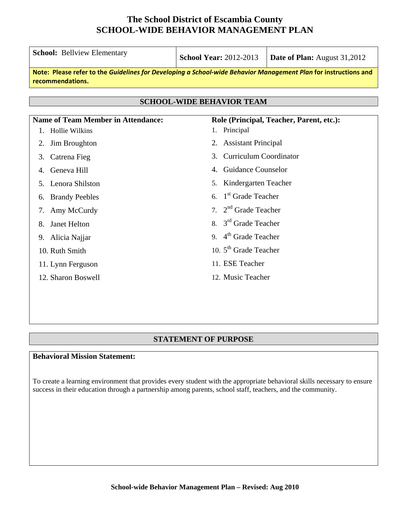| <b>School: Bellview Elementary</b>                                                                                                                                                                                                                            | <b>School Year: 2012-2013</b>                                                                                                                                                                                                                                                          | Date of Plan: August 31,2012             |  |  |  |  |
|---------------------------------------------------------------------------------------------------------------------------------------------------------------------------------------------------------------------------------------------------------------|----------------------------------------------------------------------------------------------------------------------------------------------------------------------------------------------------------------------------------------------------------------------------------------|------------------------------------------|--|--|--|--|
| Note: Please refer to the Guidelines for Developing a School-wide Behavior Management Plan for instructions and<br>recommendations.                                                                                                                           |                                                                                                                                                                                                                                                                                        |                                          |  |  |  |  |
| <b>SCHOOL-WIDE BEHAVIOR TEAM</b>                                                                                                                                                                                                                              |                                                                                                                                                                                                                                                                                        |                                          |  |  |  |  |
| <b>Name of Team Member in Attendance:</b><br>Hollie Wilkins<br>1.<br>Jim Broughton<br>2.<br>Catrena Fieg<br>3.<br>Geneva Hill<br>4.<br>Lenora Shilston<br>5.<br><b>Brandy Peebles</b><br>6.<br>Amy McCurdy<br>7.<br>Janet Helton<br>8.<br>Alicia Najjar<br>9. | 1. Principal<br><b>Assistant Principal</b><br>2.<br><b>Curriculum Coordinator</b><br>3.<br><b>Guidance Counselor</b><br>4.<br>Kindergarten Teacher<br>5.<br>1 <sup>st</sup> Grade Teacher<br>6<br>7. $2nd$ Grade Teacher<br>8. 3 <sup>rd</sup> Grade Teacher<br>9. $4th$ Grade Teacher | Role (Principal, Teacher, Parent, etc.): |  |  |  |  |
| 10. Ruth Smith<br>11. Lynn Ferguson                                                                                                                                                                                                                           | 10. $5th$ Grade Teacher<br>11. ESE Teacher                                                                                                                                                                                                                                             |                                          |  |  |  |  |
| 12. Sharon Boswell                                                                                                                                                                                                                                            | 12. Music Teacher                                                                                                                                                                                                                                                                      |                                          |  |  |  |  |

# **STATEMENT OF PURPOSE**

### **Behavioral Mission Statement:**

To create a learning environment that provides every student with the appropriate behavioral skills necessary to ensure success in their education through a partnership among parents, school staff, teachers, and the community.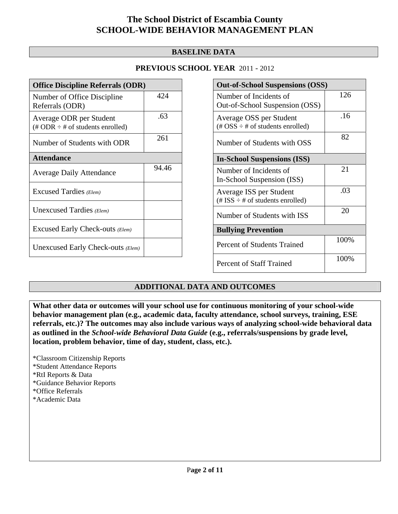# **BASELINE DATA**

# **PREVIOUS SCHOOL YEAR** 2011 - 2012

| <b>Office Discipline Referrals (ODR)</b>                                         |       |  |  |
|----------------------------------------------------------------------------------|-------|--|--|
| Number of Office Discipline<br>Referrals (ODR)                                   | 424   |  |  |
| Average ODR per Student<br>$(\text{\# ODR} \div \text{\# of students enrolled})$ | .63   |  |  |
| Number of Students with ODR                                                      | 261   |  |  |
| <b>Attendance</b>                                                                |       |  |  |
| <b>Average Daily Attendance</b>                                                  | 94.46 |  |  |
| <b>Excused Tardies</b> (Elem)                                                    |       |  |  |
| Unexcused Tardies (Elem)                                                         |       |  |  |
| Excused Early Check-outs (Elem)                                                  |       |  |  |
| Unexcused Early Check-outs (Elem)                                                |       |  |  |

| <b>Out-of-School Suspensions (OSS)</b>                                                          |      |  |  |  |
|-------------------------------------------------------------------------------------------------|------|--|--|--|
| Number of Incidents of<br>Out-of-School Suspension (OSS)                                        | 126  |  |  |  |
| Average OSS per Student<br>$(\text{\#} \text{OSS} \div \text{\#} \text{ of students enrolled})$ | .16  |  |  |  |
| Number of Students with OSS                                                                     | 82   |  |  |  |
| <b>In-School Suspensions (ISS)</b>                                                              |      |  |  |  |
| Number of Incidents of<br>In-School Suspension (ISS)                                            | 21   |  |  |  |
| Average ISS per Student<br>$(\# ISS \div \# of students enrolled)$                              | .03  |  |  |  |
| Number of Students with ISS                                                                     | 20   |  |  |  |
| <b>Bullying Prevention</b>                                                                      |      |  |  |  |
| <b>Percent of Students Trained</b>                                                              | 100% |  |  |  |
| Percent of Staff Trained                                                                        | 100% |  |  |  |

# **ADDITIONAL DATA AND OUTCOMES**

**What other data or outcomes will your school use for continuous monitoring of your school-wide behavior management plan (e.g., academic data, faculty attendance, school surveys, training, ESE referrals, etc.)? The outcomes may also include various ways of analyzing school-wide behavioral data as outlined in the** *School-wide Behavioral Data Guide* **(e.g., referrals/suspensions by grade level, location, problem behavior, time of day, student, class, etc.).**

\*Classroom Citizenship Reports \*Student Attendance Reports \*RtI Reports & Data \*Guidance Behavior Reports \*Office Referrals \*Academic Data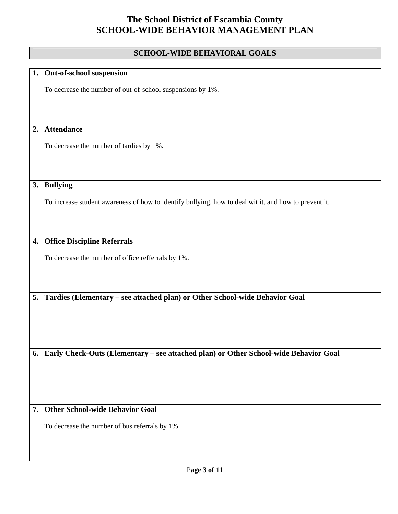## **SCHOOL-WIDE BEHAVIORAL GOALS**

### **1. Out-of-school suspension**

To decrease the number of out-of-school suspensions by 1%.

# **2. Attendance**

To decrease the number of tardies by 1%.

### **3. Bullying**

To increase student awareness of how to identify bullying, how to deal wit it, and how to prevent it.

## **4. Office Discipline Referrals**

To decrease the number of office refferrals by 1%.

**5. Tardies (Elementary – see attached plan) or Other School-wide Behavior Goal** 

**6. Early Check-Outs (Elementary – see attached plan) or Other School-wide Behavior Goal** 

# **7. Other School-wide Behavior Goal**

To decrease the number of bus referrals by 1%.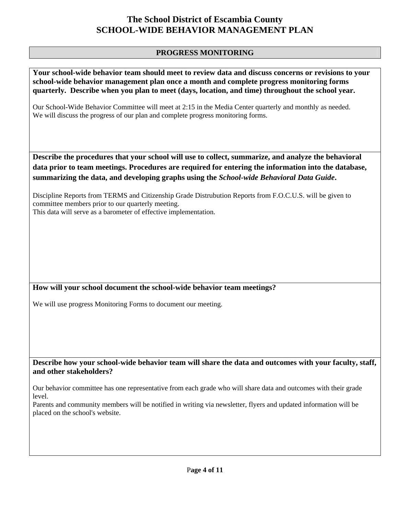## **PROGRESS MONITORING**

**Your school-wide behavior team should meet to review data and discuss concerns or revisions to your school-wide behavior management plan once a month and complete progress monitoring forms quarterly. Describe when you plan to meet (days, location, and time) throughout the school year.** 

Our School-Wide Behavior Committee will meet at 2:15 in the Media Center quarterly and monthly as needed. We will discuss the progress of our plan and complete progress monitoring forms.

**Describe the procedures that your school will use to collect, summarize, and analyze the behavioral data prior to team meetings. Procedures are required for entering the information into the database, summarizing the data, and developing graphs using the** *School-wide Behavioral Data Guide***.** 

Discipline Reports from TERMS and Citizenship Grade Distrubution Reports from F.O.C.U.S. will be given to committee members prior to our quarterly meeting. This data will serve as a barometer of effective implementation.

**How will your school document the school-wide behavior team meetings?**

We will use progress Monitoring Forms to document our meeting.

**Describe how your school-wide behavior team will share the data and outcomes with your faculty, staff, and other stakeholders?** 

Our behavior committee has one representative from each grade who will share data and outcomes with their grade level.

Parents and community members will be notified in writing via newsletter, flyers and updated information will be placed on the school's website.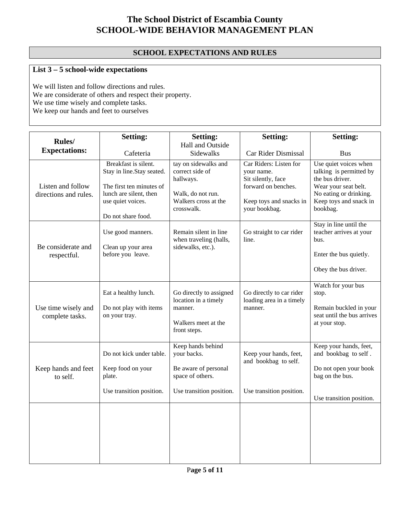# **SCHOOL EXPECTATIONS AND RULES**

# **List 3 – 5 school-wide expectations**

We will listen and follow directions and rules. We are considerate of others and respect their property. We use time wisely and complete tasks. We keep our hands and feet to ourselves

| <b>Rules</b> /                             | <b>Setting:</b>                                                                                                                                    | <b>Setting:</b>                                                                                                 | <b>Setting:</b>                                                                                                               | <b>Setting:</b>                                                                                                                                             |
|--------------------------------------------|----------------------------------------------------------------------------------------------------------------------------------------------------|-----------------------------------------------------------------------------------------------------------------|-------------------------------------------------------------------------------------------------------------------------------|-------------------------------------------------------------------------------------------------------------------------------------------------------------|
| <b>Expectations:</b>                       | Cafeteria                                                                                                                                          | Hall and Outside<br>Sidewalks                                                                                   | Car Rider Dismissal                                                                                                           | <b>Bus</b>                                                                                                                                                  |
| Listen and follow<br>directions and rules. | Breakfast is silent.<br>Stay in line.Stay seated.<br>The first ten minutes of<br>lunch are silent, then<br>use quiet voices.<br>Do not share food. | tay on sidewalks and<br>correct side of<br>hallways.<br>Walk, do not run.<br>Walkers cross at the<br>crosswalk. | Car Riders: Listen for<br>your name.<br>Sit silently, face<br>forward on benches.<br>Keep toys and snacks in<br>your bookbag. | Use quiet voices when<br>talking is permitted by<br>the bus driver.<br>Wear your seat belt.<br>No eating or drinking.<br>Keep toys and snack in<br>bookbag. |
| Be considerate and<br>respectful.          | Use good manners.<br>Clean up your area<br>before you leave.                                                                                       | Remain silent in line<br>when traveling (halls,<br>sidewalks, etc.).                                            | Go straight to car rider<br>line.                                                                                             | Stay in line until the<br>teacher arrives at your<br>bus.<br>Enter the bus quietly.<br>Obey the bus driver.                                                 |
| Use time wisely and<br>complete tasks.     | Eat a healthy lunch.<br>Do not play with items<br>on your tray.                                                                                    | Go directly to assigned<br>location in a timely<br>manner.<br>Walkers meet at the<br>front steps.               | Go directly to car rider<br>loading area in a timely<br>manner.                                                               | Watch for your bus<br>stop.<br>Remain buckled in your<br>seat until the bus arrives<br>at your stop.                                                        |
| Keep hands and feet<br>to self.            | Do not kick under table.<br>Keep food on your<br>plate.                                                                                            | Keep hands behind<br>your backs.<br>Be aware of personal<br>space of others.                                    | Keep your hands, feet,<br>and bookbag to self.                                                                                | Keep your hands, feet,<br>and bookbag to self.<br>Do not open your book<br>bag on the bus.                                                                  |
|                                            | Use transition position.                                                                                                                           | Use transition position.                                                                                        | Use transition position.                                                                                                      | Use transition position.                                                                                                                                    |
|                                            |                                                                                                                                                    |                                                                                                                 |                                                                                                                               |                                                                                                                                                             |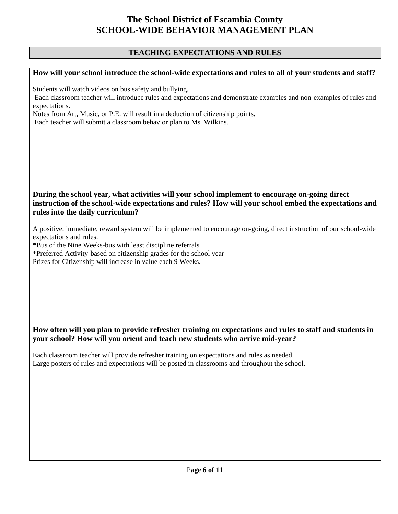# **TEACHING EXPECTATIONS AND RULES**

# **How will your school introduce the school-wide expectations and rules to all of your students and staff?**  Students will watch videos on bus safety and bullying. Each classroom teacher will introduce rules and expectations and demonstrate examples and non-examples of rules and expectations. Notes from Art, Music, or P.E. will result in a deduction of citizenship points. Each teacher will submit a classroom behavior plan to Ms. Wilkins. **During the school year, what activities will your school implement to encourage on-going direct instruction of the school-wide expectations and rules? How will your school embed the expectations and rules into the daily curriculum?**  A positive, immediate, reward system will be implemented to encourage on-going, direct instruction of our school-wide expectations and rules. \*Bus of the Nine Weeks-bus with least discipline referrals \*Preferred Activity-based on citizenship grades for the school year Prizes for Citizenship will increase in value each 9 Weeks. **How often will you plan to provide refresher training on expectations and rules to staff and students in your school? How will you orient and teach new students who arrive mid-year?**  Each classroom teacher will provide refresher training on expectations and rules as needed. Large posters of rules and expectations will be posted in classrooms and throughout the school.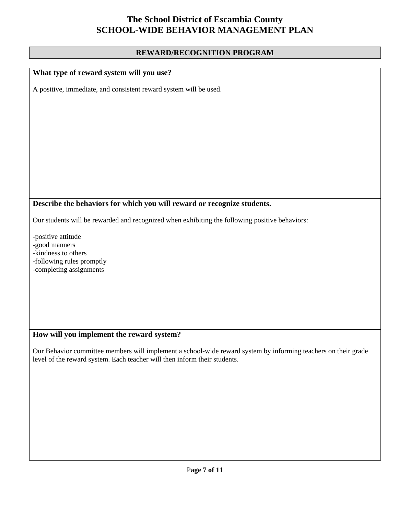## **REWARD/RECOGNITION PROGRAM**

# **What type of reward system will you use?**

A positive, immediate, and consistent reward system will be used.

# **Describe the behaviors for which you will reward or recognize students.**

Our students will be rewarded and recognized when exhibiting the following positive behaviors:

-positive attitude -good manners -kindness to others -following rules promptly -completing assignments

# **How will you implement the reward system?**

Our Behavior committee members will implement a school-wide reward system by informing teachers on their grade level of the reward system. Each teacher will then inform their students.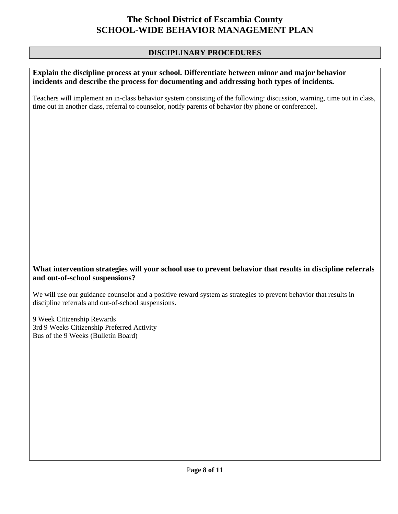# **DISCIPLINARY PROCEDURES**

### **Explain the discipline process at your school. Differentiate between minor and major behavior incidents and describe the process for documenting and addressing both types of incidents.**

Teachers will implement an in-class behavior system consisting of the following: discussion, warning, time out in class, time out in another class, referral to counselor, notify parents of behavior (by phone or conference).

## **What intervention strategies will your school use to prevent behavior that results in discipline referrals and out-of-school suspensions?**

We will use our guidance counselor and a positive reward system as strategies to prevent behavior that results in discipline referrals and out-of-school suspensions.

9 Week Citizenship Rewards 3rd 9 Weeks Citizenship Preferred Activity Bus of the 9 Weeks (Bulletin Board)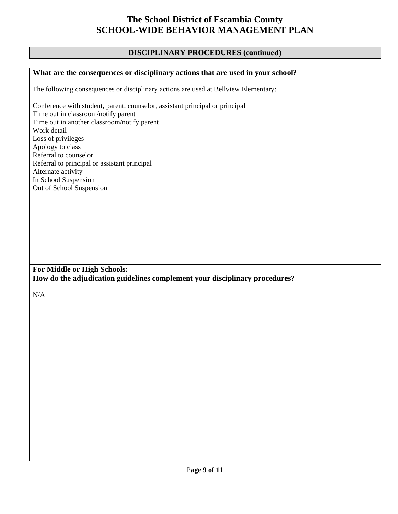## **DISCIPLINARY PROCEDURES (continued)**

# **What are the consequences or disciplinary actions that are used in your school?**

The following consequences or disciplinary actions are used at Bellview Elementary:

Conference with student, parent, counselor, assistant principal or principal Time out in classroom/notify parent Time out in another classroom/notify parent Work detail Loss of privileges Apology to class Referral to counselor Referral to principal or assistant principal Alternate activity In School Suspension Out of School Suspension

**For Middle or High Schools: How do the adjudication guidelines complement your disciplinary procedures?** 

N/A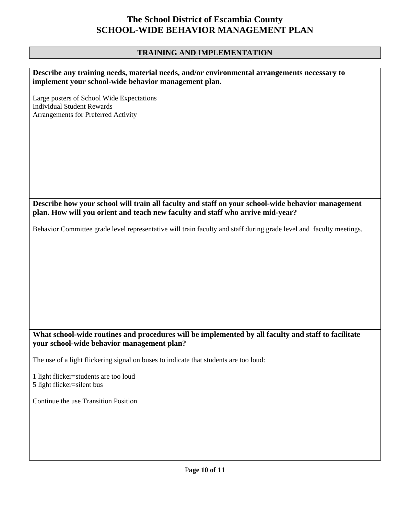# **TRAINING AND IMPLEMENTATION**

| Describe any training needs, material needs, and/or environmental arrangements necessary to<br>implement your school-wide behavior management plan.                                 |
|-------------------------------------------------------------------------------------------------------------------------------------------------------------------------------------|
| Large posters of School Wide Expectations<br><b>Individual Student Rewards</b><br>Arrangements for Preferred Activity                                                               |
|                                                                                                                                                                                     |
| Describe how your school will train all faculty and staff on your school-wide behavior management<br>plan. How will you orient and teach new faculty and staff who arrive mid-year? |
| Behavior Committee grade level representative will train faculty and staff during grade level and faculty meetings.                                                                 |
|                                                                                                                                                                                     |
|                                                                                                                                                                                     |
|                                                                                                                                                                                     |
|                                                                                                                                                                                     |
|                                                                                                                                                                                     |
| What school-wide routines and procedures will be implemented by all faculty and staff to facilitate                                                                                 |
| your school-wide behavior management plan?                                                                                                                                          |
| The use of a light flickering signal on buses to indicate that students are too loud:                                                                                               |
| 1 light flicker=students are too loud<br>5 light flicker=silent bus                                                                                                                 |
| Continue the use Transition Position                                                                                                                                                |
|                                                                                                                                                                                     |
|                                                                                                                                                                                     |
|                                                                                                                                                                                     |
|                                                                                                                                                                                     |